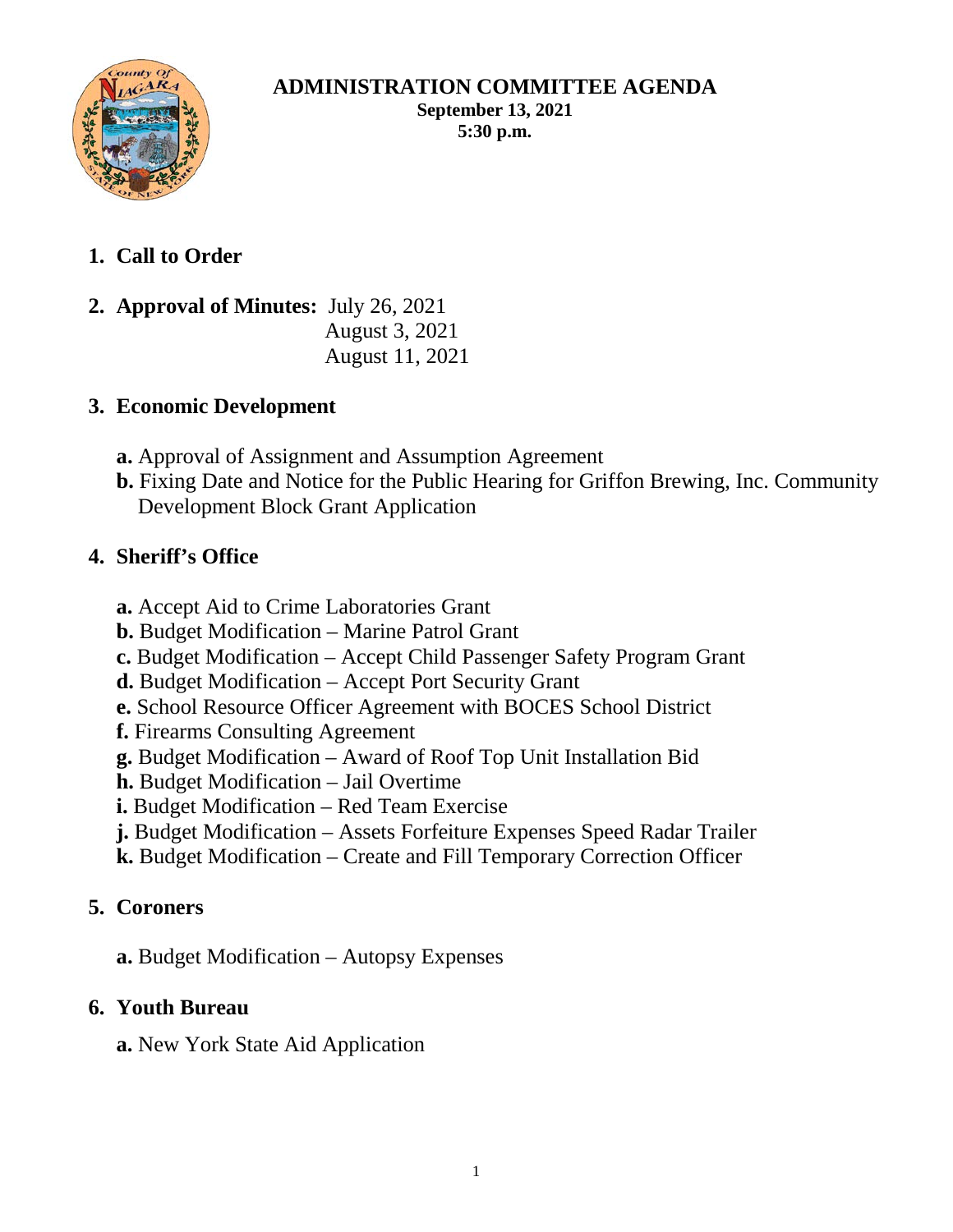

#### **ADMINISTRATION COMMITTEE AGENDA September 13, 2021 5:30 p.m.**

- **1. Call to Order**
- **2. Approval of Minutes:** July 26, 2021 August 3, 2021 August 11, 2021

## **3. Economic Development**

- **a.** Approval of Assignment and Assumption Agreement
- **b.** Fixing Date and Notice for the Public Hearing for Griffon Brewing, Inc. Community Development Block Grant Application

## **4. Sheriff's Office**

- **a.** Accept Aid to Crime Laboratories Grant
- **b.** Budget Modification Marine Patrol Grant
- **c.** Budget Modification Accept Child Passenger Safety Program Grant
- **d.** Budget Modification Accept Port Security Grant
- **e.** School Resource Officer Agreement with BOCES School District
- **f.** Firearms Consulting Agreement
- **g.** Budget Modification Award of Roof Top Unit Installation Bid
- **h.** Budget Modification Jail Overtime
- **i.** Budget Modification Red Team Exercise
- **j.** Budget Modification Assets Forfeiture Expenses Speed Radar Trailer
- **k.** Budget Modification Create and Fill Temporary Correction Officer

### **5. Coroners**

**a.** Budget Modification – Autopsy Expenses

# **6. Youth Bureau**

**a.** New York State Aid Application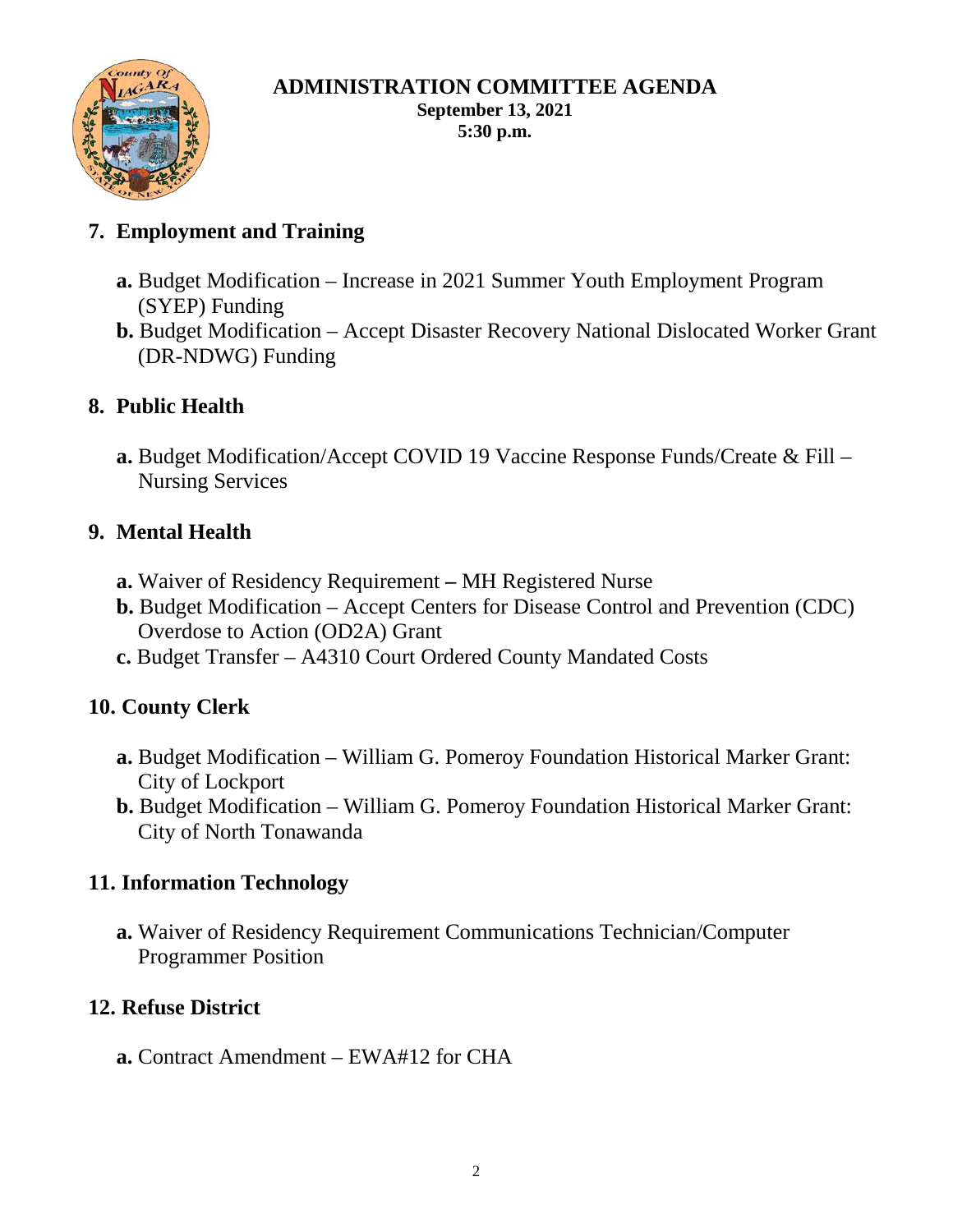

#### **ADMINISTRATION COMMITTEE AGENDA September 13, 2021 5:30 p.m.**

# **7. Employment and Training**

- **a.** Budget Modification Increase in 2021 Summer Youth Employment Program (SYEP) Funding
- **b.** Budget Modification Accept Disaster Recovery National Dislocated Worker Grant (DR-NDWG) Funding

### **8. Public Health**

**a.** Budget Modification/Accept COVID 19 Vaccine Response Funds/Create & Fill – Nursing Services

### **9. Mental Health**

- **a.** Waiver of Residency Requirement **–** MH Registered Nurse
- **b.** Budget Modification Accept Centers for Disease Control and Prevention (CDC) Overdose to Action (OD2A) Grant
- **c.** Budget Transfer A4310 Court Ordered County Mandated Costs

#### **10. County Clerk**

- **a.** Budget Modification William G. Pomeroy Foundation Historical Marker Grant: City of Lockport
- **b.** Budget Modification William G. Pomeroy Foundation Historical Marker Grant: City of North Tonawanda

#### **11. Information Technology**

**a.** Waiver of Residency Requirement Communications Technician/Computer Programmer Position

### **12. Refuse District**

**a.** Contract Amendment – EWA#12 for CHA